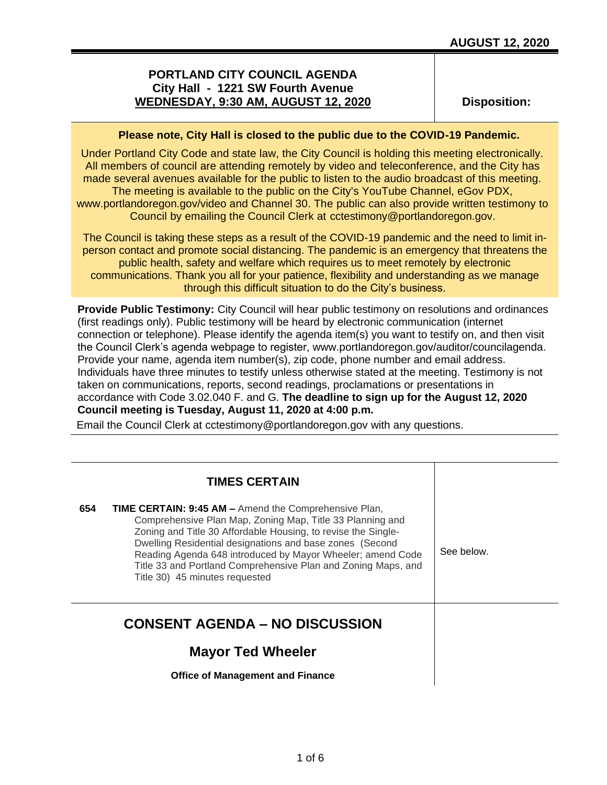# **PORTLAND CITY COUNCIL AGENDA City Hall - 1221 SW Fourth Avenue WEDNESDAY, 9:30 AM, AUGUST 12, 2020**

**Disposition:**

## **Please note, City Hall is closed to the public due to the COVID-19 Pandemic.**

Under Portland City Code and state law, the City Council is holding this meeting electronically. All members of council are attending remotely by video and teleconference, and the City has made several avenues available for the public to listen to the audio broadcast of this meeting. The meeting is available to the public on the City's YouTube Channel, eGov PDX, www.portlandoregon.gov/video and Channel 30. The public can also provide written testimony to Council by emailing the Council Clerk at cctestimony@portlandoregon.gov.

The Council is taking these steps as a result of the COVID-19 pandemic and the need to limit inperson contact and promote social distancing. The pandemic is an emergency that threatens the public health, safety and welfare which requires us to meet remotely by electronic communications. Thank you all for your patience, flexibility and understanding as we manage through this difficult situation to do the City's business.

**Provide Public Testimony:** City Council will hear public testimony on resolutions and ordinances (first readings only). Public testimony will be heard by electronic communication (internet connection or telephone). Please identify the agenda item(s) you want to testify on, and then visit the Council Clerk's agenda webpage to register, www.portlandoregon.gov/auditor/councilagenda. Provide your name, agenda item number(s), zip code, phone number and email address. Individuals have three minutes to testify unless otherwise stated at the meeting. Testimony is not taken on communications, reports, second readings, proclamations or presentations in accordance with Code 3.02.040 F. and G. **The deadline to sign up for the August 12, 2020 Council meeting is Tuesday, August 11, 2020 at 4:00 p.m.**

Email the Council Clerk at cctestimony@portlandoregon.gov with any questions.

|                                       | <b>TIMES CERTAIN</b>                                                                                                                                                                                                                                                                                                                                                                                                    |            |
|---------------------------------------|-------------------------------------------------------------------------------------------------------------------------------------------------------------------------------------------------------------------------------------------------------------------------------------------------------------------------------------------------------------------------------------------------------------------------|------------|
| 654                                   | <b>TIME CERTAIN: 9:45 AM –</b> Amend the Comprehensive Plan,<br>Comprehensive Plan Map, Zoning Map, Title 33 Planning and<br>Zoning and Title 30 Affordable Housing, to revise the Single-<br>Dwelling Residential designations and base zones (Second<br>Reading Agenda 648 introduced by Mayor Wheeler; amend Code<br>Title 33 and Portland Comprehensive Plan and Zoning Maps, and<br>Title 30) 45 minutes requested | See below. |
| <b>CONSENT AGENDA - NO DISCUSSION</b> |                                                                                                                                                                                                                                                                                                                                                                                                                         |            |
|                                       | <b>Mayor Ted Wheeler</b>                                                                                                                                                                                                                                                                                                                                                                                                |            |
|                                       | <b>Office of Management and Finance</b>                                                                                                                                                                                                                                                                                                                                                                                 |            |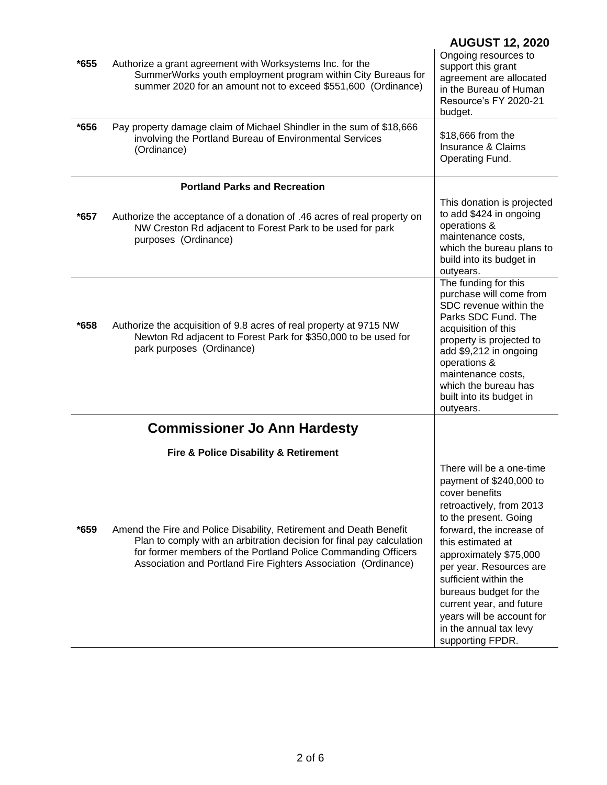| $*655$<br>*656 | Authorize a grant agreement with Worksystems Inc. for the<br>SummerWorks youth employment program within City Bureaus for<br>summer 2020 for an amount not to exceed \$551,600 (Ordinance)<br>Pay property damage claim of Michael Shindler in the sum of \$18,666<br>involving the Portland Bureau of Environmental Services<br>(Ordinance) | <b>AUGUST 12, 2020</b><br>Ongoing resources to<br>support this grant<br>agreement are allocated<br>in the Bureau of Human<br>Resource's FY 2020-21<br>budget.<br>\$18,666 from the<br>Insurance & Claims<br>Operating Fund.                                                                                                                                                                |
|----------------|----------------------------------------------------------------------------------------------------------------------------------------------------------------------------------------------------------------------------------------------------------------------------------------------------------------------------------------------|--------------------------------------------------------------------------------------------------------------------------------------------------------------------------------------------------------------------------------------------------------------------------------------------------------------------------------------------------------------------------------------------|
|                | <b>Portland Parks and Recreation</b>                                                                                                                                                                                                                                                                                                         |                                                                                                                                                                                                                                                                                                                                                                                            |
| $*657$         | Authorize the acceptance of a donation of .46 acres of real property on<br>NW Creston Rd adjacent to Forest Park to be used for park<br>purposes (Ordinance)                                                                                                                                                                                 | This donation is projected<br>to add \$424 in ongoing<br>operations &<br>maintenance costs,<br>which the bureau plans to<br>build into its budget in<br>outyears.                                                                                                                                                                                                                          |
| *658           | Authorize the acquisition of 9.8 acres of real property at 9715 NW<br>Newton Rd adjacent to Forest Park for \$350,000 to be used for<br>park purposes (Ordinance)                                                                                                                                                                            | The funding for this<br>purchase will come from<br>SDC revenue within the<br>Parks SDC Fund. The<br>acquisition of this<br>property is projected to<br>add \$9,212 in ongoing<br>operations &<br>maintenance costs,<br>which the bureau has<br>built into its budget in<br>outyears.                                                                                                       |
|                | <b>Commissioner Jo Ann Hardesty</b>                                                                                                                                                                                                                                                                                                          |                                                                                                                                                                                                                                                                                                                                                                                            |
|                | Fire & Police Disability & Retirement                                                                                                                                                                                                                                                                                                        |                                                                                                                                                                                                                                                                                                                                                                                            |
| *659           | Amend the Fire and Police Disability, Retirement and Death Benefit<br>Plan to comply with an arbitration decision for final pay calculation<br>for former members of the Portland Police Commanding Officers<br>Association and Portland Fire Fighters Association (Ordinance)                                                               | There will be a one-time<br>payment of \$240,000 to<br>cover benefits<br>retroactively, from 2013<br>to the present. Going<br>forward, the increase of<br>this estimated at<br>approximately \$75,000<br>per year. Resources are<br>sufficient within the<br>bureaus budget for the<br>current year, and future<br>years will be account for<br>in the annual tax levy<br>supporting FPDR. |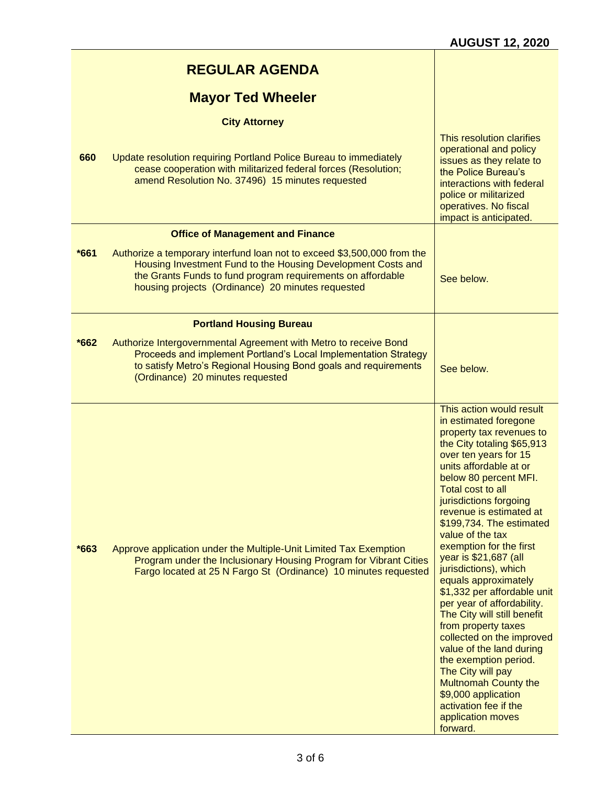|        | <b>REGULAR AGENDA</b>                                                                                                                                                                                                                                       |                                                                                                                                                                                                                                                                                                                                                                                                                                                                                                                                                                                                                                                                                                                                                                  |
|--------|-------------------------------------------------------------------------------------------------------------------------------------------------------------------------------------------------------------------------------------------------------------|------------------------------------------------------------------------------------------------------------------------------------------------------------------------------------------------------------------------------------------------------------------------------------------------------------------------------------------------------------------------------------------------------------------------------------------------------------------------------------------------------------------------------------------------------------------------------------------------------------------------------------------------------------------------------------------------------------------------------------------------------------------|
|        | <b>Mayor Ted Wheeler</b>                                                                                                                                                                                                                                    |                                                                                                                                                                                                                                                                                                                                                                                                                                                                                                                                                                                                                                                                                                                                                                  |
|        | <b>City Attorney</b>                                                                                                                                                                                                                                        |                                                                                                                                                                                                                                                                                                                                                                                                                                                                                                                                                                                                                                                                                                                                                                  |
| 660    | Update resolution requiring Portland Police Bureau to immediately<br>cease cooperation with militarized federal forces (Resolution;<br>amend Resolution No. 37496) 15 minutes requested                                                                     | This resolution clarifies<br>operational and policy<br>issues as they relate to<br>the Police Bureau's<br>interactions with federal<br>police or militarized<br>operatives. No fiscal<br>impact is anticipated.                                                                                                                                                                                                                                                                                                                                                                                                                                                                                                                                                  |
|        | <b>Office of Management and Finance</b>                                                                                                                                                                                                                     |                                                                                                                                                                                                                                                                                                                                                                                                                                                                                                                                                                                                                                                                                                                                                                  |
| $*661$ | Authorize a temporary interfund loan not to exceed \$3,500,000 from the<br>Housing Investment Fund to the Housing Development Costs and<br>the Grants Funds to fund program requirements on affordable<br>housing projects (Ordinance) 20 minutes requested | See below.                                                                                                                                                                                                                                                                                                                                                                                                                                                                                                                                                                                                                                                                                                                                                       |
|        | <b>Portland Housing Bureau</b>                                                                                                                                                                                                                              |                                                                                                                                                                                                                                                                                                                                                                                                                                                                                                                                                                                                                                                                                                                                                                  |
| $*662$ | Authorize Intergovernmental Agreement with Metro to receive Bond<br>Proceeds and implement Portland's Local Implementation Strategy<br>to satisfy Metro's Regional Housing Bond goals and requirements<br>(Ordinance) 20 minutes requested                  | See below.                                                                                                                                                                                                                                                                                                                                                                                                                                                                                                                                                                                                                                                                                                                                                       |
| $*663$ | Approve application under the Multiple-Unit Limited Tax Exemption<br>Program under the Inclusionary Housing Program for Vibrant Cities<br>Fargo located at 25 N Fargo St (Ordinance) 10 minutes requested                                                   | This action would result<br>in estimated foregone<br>property tax revenues to<br>the City totaling \$65,913<br>over ten years for 15<br>units affordable at or<br>below 80 percent MFI.<br>Total cost to all<br>jurisdictions forgoing<br>revenue is estimated at<br>\$199,734. The estimated<br>value of the tax<br>exemption for the first<br>year is \$21,687 (all<br>jurisdictions), which<br>equals approximately<br>\$1,332 per affordable unit<br>per year of affordability.<br>The City will still benefit<br>from property taxes<br>collected on the improved<br>value of the land during<br>the exemption period.<br>The City will pay<br><b>Multnomah County the</b><br>\$9,000 application<br>activation fee if the<br>application moves<br>forward. |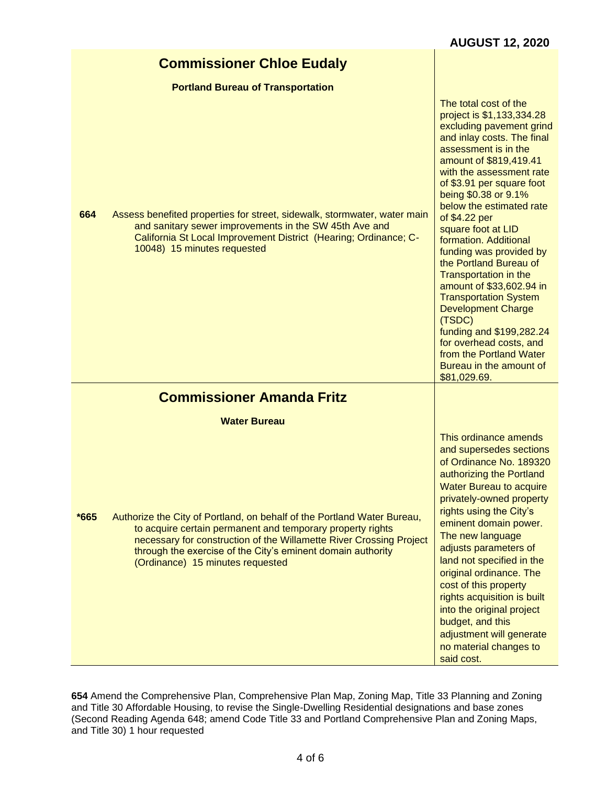# **Commissioner Chloe Eudaly**

### **Portland Bureau of Transportation**

| 664  | Assess benefited properties for street, sidewalk, stormwater, water main<br>and sanitary sewer improvements in the SW 45th Ave and<br>California St Local Improvement District (Hearing; Ordinance; C-<br>10048) 15 minutes requested                                                                           | The total cost of the<br>project is \$1,133,334.28<br>excluding pavement grind<br>and inlay costs. The final<br>assessment is in the<br>amount of \$819,419.41<br>with the assessment rate<br>of \$3.91 per square foot<br>being \$0.38 or 9.1%<br>below the estimated rate<br>of \$4.22 per<br>square foot at LID<br>formation. Additional<br>funding was provided by<br>the Portland Bureau of<br>Transportation in the<br>amount of \$33,602.94 in<br><b>Transportation System</b><br><b>Development Charge</b><br>(TSDC)<br>funding and \$199,282.24<br>for overhead costs, and<br>from the Portland Water<br>Bureau in the amount of<br>\$81,029.69. |
|------|-----------------------------------------------------------------------------------------------------------------------------------------------------------------------------------------------------------------------------------------------------------------------------------------------------------------|-----------------------------------------------------------------------------------------------------------------------------------------------------------------------------------------------------------------------------------------------------------------------------------------------------------------------------------------------------------------------------------------------------------------------------------------------------------------------------------------------------------------------------------------------------------------------------------------------------------------------------------------------------------|
|      | <b>Commissioner Amanda Fritz</b>                                                                                                                                                                                                                                                                                |                                                                                                                                                                                                                                                                                                                                                                                                                                                                                                                                                                                                                                                           |
|      | <b>Water Bureau</b>                                                                                                                                                                                                                                                                                             |                                                                                                                                                                                                                                                                                                                                                                                                                                                                                                                                                                                                                                                           |
| *665 | Authorize the City of Portland, on behalf of the Portland Water Bureau,<br>to acquire certain permanent and temporary property rights<br>necessary for construction of the Willamette River Crossing Project<br>through the exercise of the City's eminent domain authority<br>(Ordinance) 15 minutes requested | This ordinance amends<br>and supersedes sections<br>of Ordinance No. 189320<br>authorizing the Portland<br><b>Water Bureau to acquire</b><br>privately-owned property<br>rights using the City's<br>eminent domain power.<br>The new language<br>adjusts parameters of<br>land not specified in the<br>original ordinance. The<br>cost of this property<br>rights acquisition is built<br>into the original project<br>budget, and this<br>adjustment will generate<br>no material changes to<br>said cost.                                                                                                                                               |

**654** Amend the Comprehensive Plan, Comprehensive Plan Map, Zoning Map, Title 33 Planning and Zoning and Title 30 Affordable Housing, to revise the Single-Dwelling Residential designations and base zones (Second Reading Agenda 648; amend Code Title 33 and Portland Comprehensive Plan and Zoning Maps, and Title 30) 1 hour requested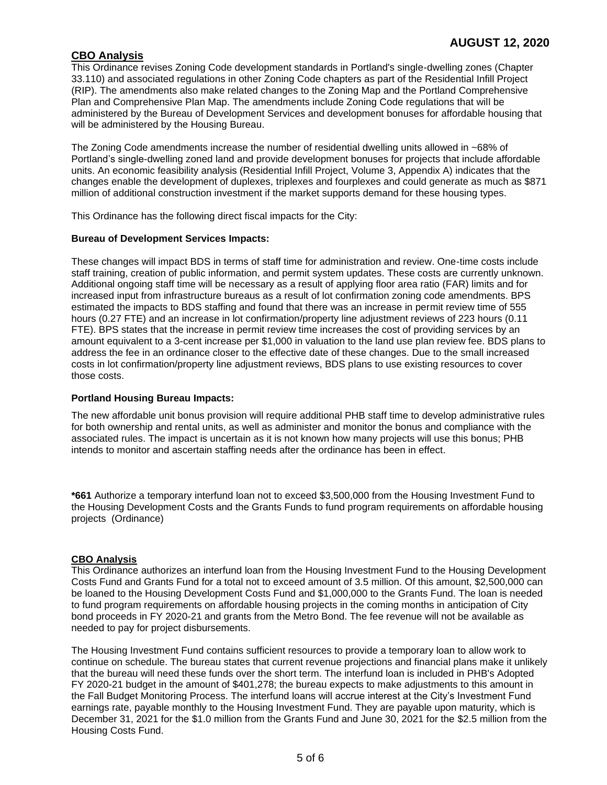## **CBO Analysis**

This Ordinance revises Zoning Code development standards in Portland's single-dwelling zones (Chapter 33.110) and associated regulations in other Zoning Code chapters as part of the Residential Infill Project (RIP). The amendments also make related changes to the Zoning Map and the Portland Comprehensive Plan and Comprehensive Plan Map. The amendments include Zoning Code regulations that will be administered by the Bureau of Development Services and development bonuses for affordable housing that will be administered by the Housing Bureau.

The Zoning Code amendments increase the number of residential dwelling units allowed in ~68% of Portland's single-dwelling zoned land and provide development bonuses for projects that include affordable units. An economic feasibility analysis (Residential Infill Project, Volume 3, Appendix A) indicates that the changes enable the development of duplexes, triplexes and fourplexes and could generate as much as \$871 million of additional construction investment if the market supports demand for these housing types.

This Ordinance has the following direct fiscal impacts for the City:

#### **Bureau of Development Services Impacts:**

These changes will impact BDS in terms of staff time for administration and review. One-time costs include staff training, creation of public information, and permit system updates. These costs are currently unknown. Additional ongoing staff time will be necessary as a result of applying floor area ratio (FAR) limits and for increased input from infrastructure bureaus as a result of lot confirmation zoning code amendments. BPS estimated the impacts to BDS staffing and found that there was an increase in permit review time of 555 hours (0.27 FTE) and an increase in lot confirmation/property line adjustment reviews of 223 hours (0.11 FTE). BPS states that the increase in permit review time increases the cost of providing services by an amount equivalent to a 3-cent increase per \$1,000 in valuation to the land use plan review fee. BDS plans to address the fee in an ordinance closer to the effective date of these changes. Due to the small increased costs in lot confirmation/property line adjustment reviews, BDS plans to use existing resources to cover those costs.

### **Portland Housing Bureau Impacts:**

The new affordable unit bonus provision will require additional PHB staff time to develop administrative rules for both ownership and rental units, as well as administer and monitor the bonus and compliance with the associated rules. The impact is uncertain as it is not known how many projects will use this bonus; PHB intends to monitor and ascertain staffing needs after the ordinance has been in effect.

**\*661** Authorize a temporary interfund loan not to exceed \$3,500,000 from the Housing Investment Fund to the Housing Development Costs and the Grants Funds to fund program requirements on affordable housing projects (Ordinance)

## **CBO Analysis**

This Ordinance authorizes an interfund loan from the Housing Investment Fund to the Housing Development Costs Fund and Grants Fund for a total not to exceed amount of 3.5 million. Of this amount, \$2,500,000 can be loaned to the Housing Development Costs Fund and \$1,000,000 to the Grants Fund. The loan is needed to fund program requirements on affordable housing projects in the coming months in anticipation of City bond proceeds in FY 2020-21 and grants from the Metro Bond. The fee revenue will not be available as needed to pay for project disbursements.

The Housing Investment Fund contains sufficient resources to provide a temporary loan to allow work to continue on schedule. The bureau states that current revenue projections and financial plans make it unlikely that the bureau will need these funds over the short term. The interfund loan is included in PHB's Adopted FY 2020-21 budget in the amount of \$401,278; the bureau expects to make adjustments to this amount in the Fall Budget Monitoring Process. The interfund loans will accrue interest at the City's Investment Fund earnings rate, payable monthly to the Housing Investment Fund. They are payable upon maturity, which is December 31, 2021 for the \$1.0 million from the Grants Fund and June 30, 2021 for the \$2.5 million from the Housing Costs Fund.